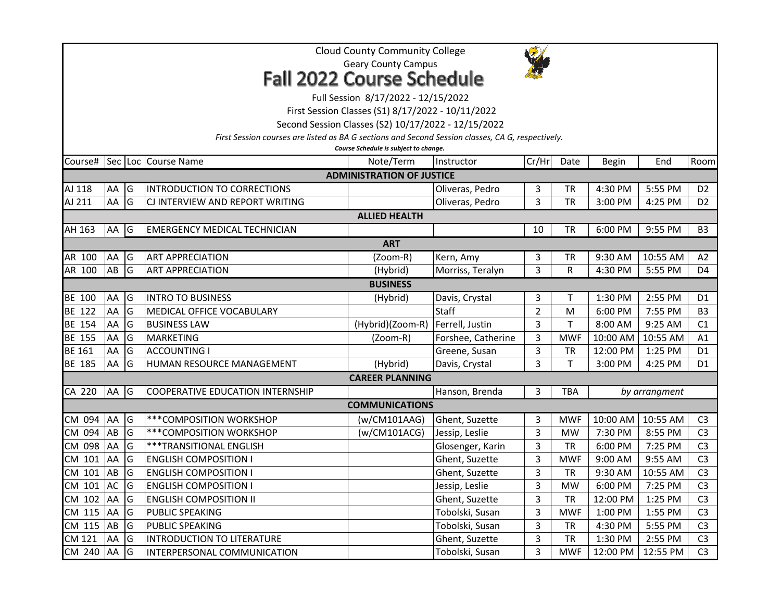|                                                                                                                                            |                                                   |   | <b>Fall 2022 Course Schedule</b>        | <b>Cloud County Community College</b><br><b>Geary County Campus</b> |                    |             |            |              |               |                |  |
|--------------------------------------------------------------------------------------------------------------------------------------------|---------------------------------------------------|---|-----------------------------------------|---------------------------------------------------------------------|--------------------|-------------|------------|--------------|---------------|----------------|--|
|                                                                                                                                            | Full Session 8/17/2022 - 12/15/2022               |   |                                         |                                                                     |                    |             |            |              |               |                |  |
|                                                                                                                                            | First Session Classes (S1) 8/17/2022 - 10/11/2022 |   |                                         |                                                                     |                    |             |            |              |               |                |  |
|                                                                                                                                            |                                                   |   |                                         | Second Session Classes (S2) 10/17/2022 - 12/15/2022                 |                    |             |            |              |               |                |  |
| First Session courses are listed as BA G sections and Second Session classes, CA G, respectively.<br>Course Schedule is subject to change. |                                                   |   |                                         |                                                                     |                    |             |            |              |               |                |  |
| Course#                                                                                                                                    |                                                   |   | Sec Loc Course Name                     | Note/Term                                                           | Instructor         | Cr/Hr       | Date       | <b>Begin</b> | End           | Room           |  |
|                                                                                                                                            | <b>ADMINISTRATION OF JUSTICE</b>                  |   |                                         |                                                                     |                    |             |            |              |               |                |  |
| AJ 118                                                                                                                                     | AA                                                | G | INTRODUCTION TO CORRECTIONS             |                                                                     | Oliveras, Pedro    | 3           | <b>TR</b>  | 4:30 PM      | 5:55 PM       | D <sub>2</sub> |  |
| AJ 211                                                                                                                                     | AA                                                | G | CJ INTERVIEW AND REPORT WRITING         |                                                                     | Oliveras, Pedro    | 3           | <b>TR</b>  | 3:00 PM      | 4:25 PM       | D <sub>2</sub> |  |
|                                                                                                                                            | <b>ALLIED HEALTH</b>                              |   |                                         |                                                                     |                    |             |            |              |               |                |  |
| AH 163                                                                                                                                     | AA G                                              |   | <b>EMERGENCY MEDICAL TECHNICIAN</b>     |                                                                     |                    | 10          | <b>TR</b>  | 6:00 PM      | 9:55 PM       | B <sub>3</sub> |  |
|                                                                                                                                            | <b>ART</b>                                        |   |                                         |                                                                     |                    |             |            |              |               |                |  |
| AR 100                                                                                                                                     | AA                                                | G | <b>ART APPRECIATION</b>                 | (Zoom-R)                                                            | Kern, Amy          | 3           | <b>TR</b>  | 9:30 AM      | 10:55 AM      | A2             |  |
| AR 100                                                                                                                                     | AB                                                | G | <b>ART APPRECIATION</b>                 | (Hybrid)                                                            | Morriss, Teralyn   | 3           | R          | 4:30 PM      | 5:55 PM       | D4             |  |
| <b>BUSINESS</b>                                                                                                                            |                                                   |   |                                         |                                                                     |                    |             |            |              |               |                |  |
| BE 100                                                                                                                                     | AA                                                | G | <b>INTRO TO BUSINESS</b>                | (Hybrid)                                                            | Davis, Crystal     | 3           | т          | 1:30 PM      | 2:55 PM       | D <sub>1</sub> |  |
| BE 122                                                                                                                                     | AA                                                | G | MEDICAL OFFICE VOCABULARY               |                                                                     | Staff              | $\mathbf 2$ | M          | 6:00 PM      | 7:55 PM       | B <sub>3</sub> |  |
| <b>BE 154</b>                                                                                                                              | AA                                                | G | <b>BUSINESS LAW</b>                     | (Hybrid)(Zoom-R)                                                    | Ferrell, Justin    | 3           | T.         | 8:00 AM      | 9:25 AM       | C1             |  |
| <b>BE 155</b>                                                                                                                              | AA                                                | G | <b>MARKETING</b>                        | (Zoom-R)                                                            | Forshee, Catherine | 3           | <b>MWF</b> | 10:00 AM     | 10:55 AM      | A1             |  |
| <b>BE 161</b>                                                                                                                              | AA                                                | G | <b>ACCOUNTING I</b>                     |                                                                     | Greene, Susan      | 3           | <b>TR</b>  | 12:00 PM     | 1:25 PM       | D <sub>1</sub> |  |
| BE 185                                                                                                                                     | AA                                                | G | HUMAN RESOURCE MANAGEMENT               | (Hybrid)                                                            | Davis, Crystal     | 3           | T          | 3:00 PM      | 4:25 PM       | D <sub>1</sub> |  |
|                                                                                                                                            |                                                   |   |                                         | <b>CAREER PLANNING</b>                                              |                    |             |            |              |               |                |  |
| CA 220                                                                                                                                     | AA G                                              |   | <b>COOPERATIVE EDUCATION INTERNSHIP</b> |                                                                     | Hanson, Brenda     | 3           | <b>TBA</b> |              | by arrangment |                |  |
|                                                                                                                                            |                                                   |   |                                         | <b>COMMUNICATIONS</b>                                               |                    |             |            |              |               |                |  |
| CM 094 AA                                                                                                                                  |                                                   | G | *** COMPOSITION WORKSHOP                | (w/CM101AAG)                                                        | Ghent, Suzette     | 3           | <b>MWF</b> | 10:00 AM     | 10:55 AM      | C <sub>3</sub> |  |
| CM 094                                                                                                                                     | AB                                                | G | *** COMPOSITION WORKSHOP                | (w/CM101ACG)                                                        | Jessip, Leslie     | 3           | <b>MW</b>  | 7:30 PM      | 8:55 PM       | C <sub>3</sub> |  |
| CM 098 AA                                                                                                                                  |                                                   | G | <b>***TRANSITIONAL ENGLISH</b>          |                                                                     | Glosenger, Karin   | 3           | <b>TR</b>  | 6:00 PM      | 7:25 PM       | C <sub>3</sub> |  |
| CM 101                                                                                                                                     | AA                                                | G | <b>ENGLISH COMPOSITION I</b>            |                                                                     | Ghent, Suzette     | 3           | <b>MWF</b> | 9:00 AM      | 9:55 AM       | C <sub>3</sub> |  |
| CM 101                                                                                                                                     | AB                                                | G | <b>ENGLISH COMPOSITION I</b>            |                                                                     | Ghent, Suzette     | 3           | <b>TR</b>  | 9:30 AM      | 10:55 AM      | C <sub>3</sub> |  |
| CM 101 $AC$ G                                                                                                                              |                                                   |   | <b>ENGLISH COMPOSITION I</b>            |                                                                     | Jessip, Leslie     | 3           | MW         | 6:00 PM      | 7:25 PM       | C <sub>3</sub> |  |
| CM 102 AA                                                                                                                                  |                                                   | G | <b>ENGLISH COMPOSITION II</b>           |                                                                     | Ghent, Suzette     | 3           | <b>TR</b>  | 12:00 PM     | 1:25 PM       | C <sub>3</sub> |  |
| CM 115 AA                                                                                                                                  |                                                   | G | PUBLIC SPEAKING                         |                                                                     | Tobolski, Susan    | 3           | <b>MWF</b> | 1:00 PM      | 1:55 PM       | C <sub>3</sub> |  |
| CM 115 AB                                                                                                                                  |                                                   | G | PUBLIC SPEAKING                         |                                                                     | Tobolski, Susan    | 3           | <b>TR</b>  | 4:30 PM      | 5:55 PM       | C <sub>3</sub> |  |
| CM 121                                                                                                                                     | AA                                                | G | <b>INTRODUCTION TO LITERATURE</b>       |                                                                     | Ghent, Suzette     | 3           | <b>TR</b>  | 1:30 PM      | 2:55 PM       | C <sub>3</sub> |  |
| CM 240 AA G                                                                                                                                |                                                   |   | INTERPERSONAL COMMUNICATION             |                                                                     | Tobolski, Susan    | 3           | <b>MWF</b> | 12:00 PM     | 12:55 PM      | C <sub>3</sub> |  |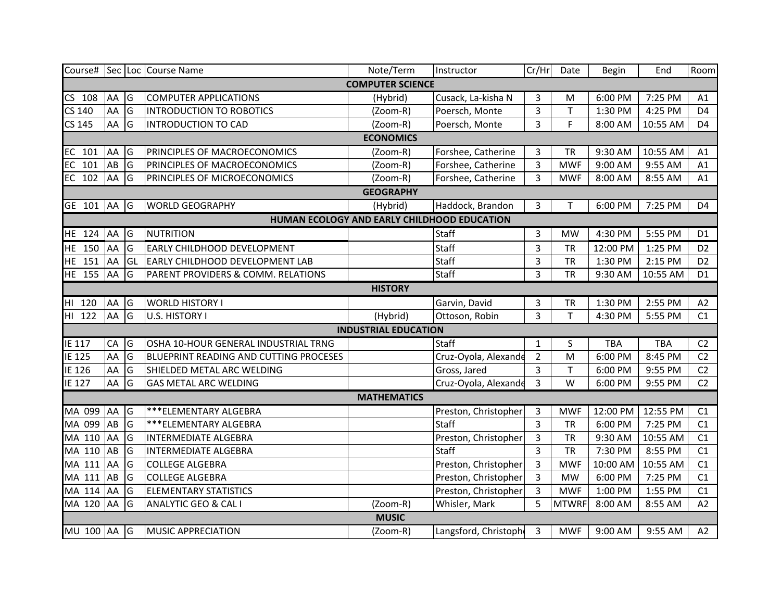|                         |                                             |                | Course# Sec Loc Course Name            | Note/Term                   | Instructor            | Cr/Hr          | Date         | <b>Begin</b> | End      | Room           |
|-------------------------|---------------------------------------------|----------------|----------------------------------------|-----------------------------|-----------------------|----------------|--------------|--------------|----------|----------------|
| <b>COMPUTER SCIENCE</b> |                                             |                |                                        |                             |                       |                |              |              |          |                |
| CS 108                  | AA                                          | G              | <b>COMPUTER APPLICATIONS</b>           | (Hybrid)                    | Cusack, La-kisha N    | 3              | M            | 6:00 PM      | 7:25 PM  | A1             |
| CS 140                  | AA                                          | G              | <b>INTRODUCTION TO ROBOTICS</b>        | (Zoom-R)                    | Poersch, Monte        | 3              | $\mathsf{T}$ | 1:30 PM      | 4:25 PM  | D <sub>4</sub> |
| CS 145                  | AA                                          | G              | INTRODUCTION TO CAD                    | (Zoom-R)                    | Poersch, Monte        | 3              | F.           | 8:00 AM      | 10:55 AM | D <sub>4</sub> |
|                         | <b>ECONOMICS</b>                            |                |                                        |                             |                       |                |              |              |          |                |
| EC 101                  | AA                                          | G              | PRINCIPLES OF MACROECONOMICS           | (Zoom-R)                    | Forshee, Catherine    | 3              | <b>TR</b>    | 9:30 AM      | 10:55 AM | A1             |
| EC 101                  | AB                                          | G              | PRINCIPLES OF MACROECONOMICS           | (Zoom-R)                    | Forshee, Catherine    | 3              | <b>MWF</b>   | 9:00 AM      | 9:55 AM  | A1             |
| EC 102                  | AA                                          | l <sub>G</sub> | PRINCIPLES OF MICROECONOMICS           | (Zoom-R)                    | Forshee, Catherine    | $\overline{3}$ | <b>MWF</b>   | 8:00 AM      | 8:55 AM  | A1             |
|                         | <b>GEOGRAPHY</b>                            |                |                                        |                             |                       |                |              |              |          |                |
| GE 101 AA G             |                                             |                | <b>WORLD GEOGRAPHY</b>                 | (Hybrid)                    | Haddock, Brandon      | 3              | $\mathsf{T}$ | 6:00 PM      | 7:25 PM  | D <sub>4</sub> |
|                         | HUMAN ECOLOGY AND EARLY CHILDHOOD EDUCATION |                |                                        |                             |                       |                |              |              |          |                |
| HE $124$ AA             |                                             | $\overline{G}$ | <b>NUTRITION</b>                       |                             | Staff                 | 3              | <b>MW</b>    | 4:30 PM      | 5:55 PM  | D <sub>1</sub> |
| HE 150 AA               |                                             | G              | EARLY CHILDHOOD DEVELOPMENT            |                             | Staff                 | 3              | <b>TR</b>    | 12:00 PM     | 1:25 PM  | D <sub>2</sub> |
| HE 151 AA               |                                             | GL             | EARLY CHILDHOOD DEVELOPMENT LAB        |                             | Staff                 | 3              | <b>TR</b>    | 1:30 PM      | 2:15 PM  | D <sub>2</sub> |
| HE 155 AA               |                                             | G              | PARENT PROVIDERS & COMM. RELATIONS     |                             | Staff                 | $\overline{3}$ | <b>TR</b>    | 9:30 AM      | 10:55 AM | D <sub>1</sub> |
|                         |                                             |                |                                        | <b>HISTORY</b>              |                       |                |              |              |          |                |
| HI 120                  | AA                                          | G              | <b>WORLD HISTORY I</b>                 |                             | Garvin, David         | 3              | <b>TR</b>    | 1:30 PM      | 2:55 PM  | A2             |
| HI 122                  | AA                                          | G              | U.S. HISTORY I                         | (Hybrid)                    | Ottoson, Robin        | 3              | T.           | 4:30 PM      | 5:55 PM  | C1             |
|                         |                                             |                |                                        | <b>INDUSTRIAL EDUCATION</b> |                       |                |              |              |          |                |
| IE 117                  | <b>CA</b>                                   | G              | OSHA 10-HOUR GENERAL INDUSTRIAL TRNG   |                             | <b>Staff</b>          | $\mathbf{1}$   | S            | TBA          | TBA      | C <sub>2</sub> |
| <b>IE 125</b>           | AA                                          | G              | BLUEPRINT READING AND CUTTING PROCESES |                             | Cruz-Oyola, Alexande  | $\overline{2}$ | M            | 6:00 PM      | 8:45 PM  | C <sub>2</sub> |
| IE 126                  | AA                                          | G              | SHIELDED METAL ARC WELDING             |                             | Gross, Jared          | 3              | T.           | 6:00 PM      | 9:55 PM  | C <sub>2</sub> |
| <b>IE 127</b>           | AA                                          | G              | <b>GAS METAL ARC WELDING</b>           |                             | Cruz-Oyola, Alexande  | $\overline{3}$ | W            | 6:00 PM      | 9:55 PM  | C <sub>2</sub> |
|                         |                                             |                |                                        | <b>MATHEMATICS</b>          |                       |                |              |              |          |                |
| MA 099 AA               |                                             | $\overline{G}$ | ***ELEMENTARY ALGEBRA                  |                             | Preston, Christopher  | 3              | <b>MWF</b>   | 12:00 PM     | 12:55 PM | C1             |
| MA 099 AB               |                                             | lG             | *** ELEMENTARY ALGEBRA                 |                             | <b>Staff</b>          | $\overline{3}$ | <b>TR</b>    | 6:00 PM      | 7:25 PM  | C1             |
| MA 110 AA               |                                             | G              | <b>INTERMEDIATE ALGEBRA</b>            |                             | Preston, Christopher  | 3              | <b>TR</b>    | 9:30 AM      | 10:55 AM | C1             |
| MA 110 AB               |                                             | G              | <b>INTERMEDIATE ALGEBRA</b>            |                             | <b>Staff</b>          | $\overline{3}$ | <b>TR</b>    | 7:30 PM      | 8:55 PM  | C1             |
| MA 111 AA               |                                             | G              | <b>COLLEGE ALGEBRA</b>                 |                             | Preston, Christopher  | $\overline{3}$ | <b>MWF</b>   | 10:00 AM     | 10:55 AM | C1             |
| MA 111 AB               |                                             | G              | <b>COLLEGE ALGEBRA</b>                 |                             | Preston, Christopher  | $\overline{3}$ | <b>MW</b>    | 6:00 PM      | 7:25 PM  | C1             |
| MA 114 AA               |                                             | G              | <b>ELEMENTARY STATISTICS</b>           |                             | Preston, Christopher  | 3              | <b>MWF</b>   | 1:00 PM      | 1:55 PM  | C1             |
| MA 120 AA               |                                             | G              | <b>ANALYTIC GEO &amp; CAL I</b>        | (Zoom-R)                    | Whisler, Mark         | 5              | <b>MTWRF</b> | 8:00 AM      | 8:55 AM  | A2             |
|                         | <b>MUSIC</b>                                |                |                                        |                             |                       |                |              |              |          |                |
| MU 100 AA G             |                                             |                | MUSIC APPRECIATION                     | (Zoom-R)                    | Langsford, Christophe | $\overline{3}$ | <b>MWF</b>   | 9:00 AM      | 9:55 AM  | A2             |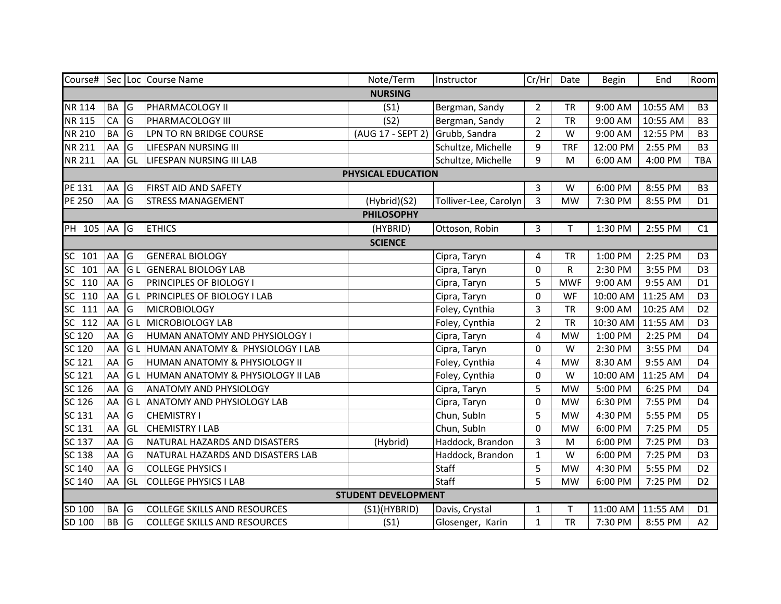|                    |                            |                | Course#   Sec   Loc   Course Name   | Note/Term         | Instructor            | Cr/Hr          | Date       | <b>Begin</b> | End      | Room           |
|--------------------|----------------------------|----------------|-------------------------------------|-------------------|-----------------------|----------------|------------|--------------|----------|----------------|
| <b>NURSING</b>     |                            |                |                                     |                   |                       |                |            |              |          |                |
| NR 114             | <b>BA</b>                  | <b>G</b>       | PHARMACOLOGY II                     | (S1)              | Bergman, Sandy        | $\overline{2}$ | <b>TR</b>  | 9:00 AM      | 10:55 AM | <b>B3</b>      |
| <b>NR 115</b>      | <b>CA</b>                  | G              | PHARMACOLOGY III                    | (S2)              | Bergman, Sandy        | $\overline{2}$ | <b>TR</b>  | 9:00 AM      | 10:55 AM | B <sub>3</sub> |
| <b>NR 210</b>      | <b>BA</b>                  | G              | LPN TO RN BRIDGE COURSE             | (AUG 17 - SEPT 2) | Grubb, Sandra         | $\overline{2}$ | W          | 9:00 AM      | 12:55 PM | B <sub>3</sub> |
| <b>NR 211</b>      | AA                         | G              | LIFESPAN NURSING III                |                   | Schultze, Michelle    | 9              | <b>TRF</b> | 12:00 PM     | 2:55 PM  | <b>B3</b>      |
| <b>NR 211</b>      | AA                         | <b>GL</b>      | LIFESPAN NURSING III LAB            |                   | Schultze, Michelle    | 9              | M          | 6:00 AM      | 4:00 PM  | <b>TBA</b>     |
| PHYSICAL EDUCATION |                            |                |                                     |                   |                       |                |            |              |          |                |
| PE 131             | AA                         | G              | FIRST AID AND SAFETY                |                   |                       | 3              | W          | 6:00 PM      | 8:55 PM  | <b>B3</b>      |
| <b>PE 250</b>      | AA                         | l <sub>G</sub> | <b>STRESS MANAGEMENT</b>            | (Hybrid)(S2)      | Tolliver-Lee, Carolyn | 3              | <b>MW</b>  | 7:30 PM      | 8:55 PM  | D <sub>1</sub> |
| <b>PHILOSOPHY</b>  |                            |                |                                     |                   |                       |                |            |              |          |                |
| PH 105 AA G        |                            |                | <b>ETHICS</b>                       | (HYBRID)          | Ottoson, Robin        | 3              | Τ          | 1:30 PM      | 2:55 PM  | C1             |
| <b>SCIENCE</b>     |                            |                |                                     |                   |                       |                |            |              |          |                |
| SC 101             | AA                         | <b>G</b>       | <b>GENERAL BIOLOGY</b>              |                   | Cipra, Taryn          | 4              | <b>TR</b>  | 1:00 PM      | 2:25 PM  | D <sub>3</sub> |
| SC 101             | AA                         | G              | <b>GENERAL BIOLOGY LAB</b>          |                   | Cipra, Taryn          | $\mathbf 0$    | R          | 2:30 PM      | 3:55 PM  | D <sub>3</sub> |
| SC 110             | AA                         | G              | PRINCIPLES OF BIOLOGY I             |                   | Cipra, Taryn          | 5              | <b>MWF</b> | 9:00 AM      | 9:55 AM  | D <sub>1</sub> |
| <b>SC</b><br>110   | AA                         | GL             | PRINCIPLES OF BIOLOGY I LAB         |                   | Cipra, Taryn          | $\mathbf 0$    | WF         | 10:00 AM     | 11:25 AM | D <sub>3</sub> |
| SC 111             | AA                         | G              | <b>MICROBIOLOGY</b>                 |                   | Foley, Cynthia        | $\mathbf{3}$   | <b>TR</b>  | 9:00 AM      | 10:25 AM | D <sub>2</sub> |
| SC 112             | AA                         | GL             | MICROBIOLOGY LAB                    |                   | Foley, Cynthia        | $\overline{2}$ | <b>TR</b>  | 10:30 AM     | 11:55 AM | D <sub>3</sub> |
| SC 120             | AA                         | G              | HUMAN ANATOMY AND PHYSIOLOGY I      |                   | Cipra, Taryn          | $\overline{4}$ | <b>MW</b>  | 1:00 PM      | 2:25 PM  | D <sub>4</sub> |
| SC 120             | AA                         | G L            | HUMAN ANATOMY & PHYSIOLOGY I LAB    |                   | Cipra, Taryn          | $\mathbf 0$    | W          | 2:30 PM      | 3:55 PM  | D <sub>4</sub> |
| SC 121             | AA                         | G              | HUMAN ANATOMY & PHYSIOLOGY II       |                   | Foley, Cynthia        | $\overline{4}$ | <b>MW</b>  | 8:30 AM      | 9:55 AM  | D <sub>4</sub> |
| SC 121             | AA                         | GL             | HUMAN ANATOMY & PHYSIOLOGY II LAB   |                   | Foley, Cynthia        | 0              | W          | 10:00 AM     | 11:25 AM | D <sub>4</sub> |
| SC 126             | AA                         | G              | ANATOMY AND PHYSIOLOGY              |                   | Cipra, Taryn          | 5              | <b>MW</b>  | 5:00 PM      | 6:25 PM  | D <sub>4</sub> |
| SC 126             | AA                         | lg L           | <b>ANATOMY AND PHYSIOLOGY LAB</b>   |                   | Cipra, Taryn          | $\mathbf 0$    | <b>MW</b>  | 6:30 PM      | 7:55 PM  | D <sub>4</sub> |
| SC 131             | AA                         | G              | <b>CHEMISTRY I</b>                  |                   | Chun, SubIn           | 5              | <b>MW</b>  | 4:30 PM      | 5:55 PM  | D <sub>5</sub> |
| SC 131             | AA                         | GL             | CHEMISTRY I LAB                     |                   | Chun, SubIn           | $\mathbf 0$    | <b>MW</b>  | 6:00 PM      | 7:25 PM  | D <sub>5</sub> |
| SC 137             | AA                         | G              | NATURAL HAZARDS AND DISASTERS       | (Hybrid)          | Haddock, Brandon      | 3              | M          | 6:00 PM      | 7:25 PM  | D <sub>3</sub> |
| <b>SC 138</b>      | AA                         | G              | NATURAL HAZARDS AND DISASTERS LAB   |                   | Haddock, Brandon      | $\mathbf 1$    | W          | 6:00 PM      | 7:25 PM  | D <sub>3</sub> |
| SC 140             | AA                         | G              | <b>COLLEGE PHYSICS I</b>            |                   | Staff                 | 5              | <b>MW</b>  | 4:30 PM      | 5:55 PM  | D <sub>2</sub> |
| <b>SC 140</b>      | AA                         | GL             | <b>COLLEGE PHYSICS I LAB</b>        |                   | Staff                 | 5              | <b>MW</b>  | 6:00 PM      | 7:25 PM  | D <sub>2</sub> |
|                    | <b>STUDENT DEVELOPMENT</b> |                |                                     |                   |                       |                |            |              |          |                |
| SD 100             | <b>BA</b>                  | G              | <b>COLLEGE SKILLS AND RESOURCES</b> | (S1)(HYBRID)      | Davis, Crystal        | $\mathbf{1}$   | т          | 11:00 AM     | 11:55 AM | D <sub>1</sub> |
| SD 100             | <b>BB</b>                  | G              | <b>COLLEGE SKILLS AND RESOURCES</b> | (S1)              | Glosenger, Karin      | $\mathbf{1}$   | <b>TR</b>  | 7:30 PM      | 8:55 PM  | A2             |